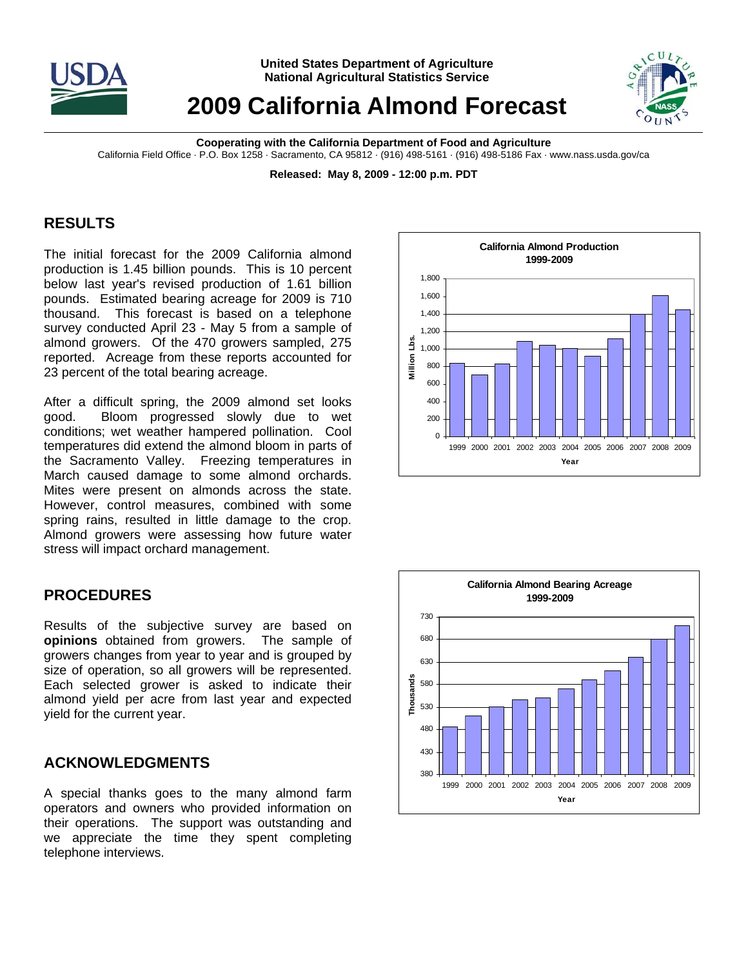

**United States Department of Agriculture National Agricultural Statistics Service**

# **2009 California Almond Forecast**



**Cooperating with the California Department of Food and Agriculture**  California Field Office · P.O. Box 1258 · Sacramento, CA 95812 · (916) 498-5161 · (916) 498-5186 Fax · www.nass.usda.gov/ca

**Released: May 8, 2009 - 12:00 p.m. PDT** 

## **RESULTS**

The initial forecast for the 2009 California almond production is 1.45 billion pounds. This is 10 percent below last year's revised production of 1.61 billion pounds. Estimated bearing acreage for 2009 is 710 thousand. This forecast is based on a telephone survey conducted April 23 - May 5 from a sample of almond growers. Of the 470 growers sampled, 275 reported. Acreage from these reports accounted for 23 percent of the total bearing acreage.

After a difficult spring, the 2009 almond set looks good. Bloom progressed slowly due to wet conditions; wet weather hampered pollination. Cool temperatures did extend the almond bloom in parts of the Sacramento Valley. Freezing temperatures in March caused damage to some almond orchards. Mites were present on almonds across the state. However, control measures, combined with some spring rains, resulted in little damage to the crop. Almond growers were assessing how future water stress will impact orchard management.

## **PROCEDURES**

Results of the subjective survey are based on **opinions** obtained from growers. The sample of growers changes from year to year and is grouped by size of operation, so all growers will be represented. Each selected grower is asked to indicate their almond yield per acre from last year and expected yield for the current year.

#### **ACKNOWLEDGMENTS**

A special thanks goes to the many almond farm operators and owners who provided information on their operations. The support was outstanding and we appreciate the time they spent completing telephone interviews.